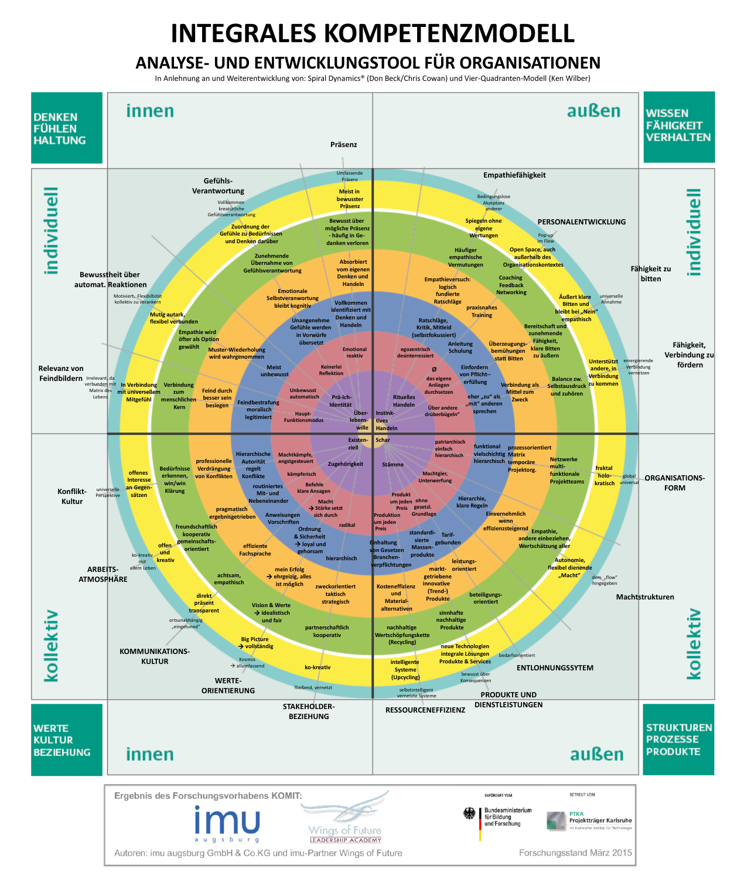## **INTEGRALES KOMPETENZMODELL**

## **ANALYSE- UND ENTWICKLUNGSTOOL FÜR ORGANISATIONEN**

In Anlehnung an und Weiterentwicklung von: Spiral Dynamics® (Don Beck/Chris Cowan) und Vier-Quadranten-Modell (Ken Wilber)